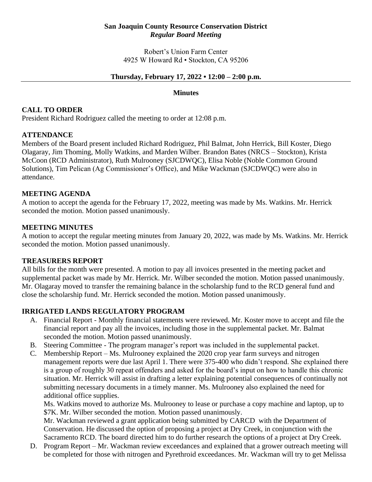### **San Joaquin County Resource Conservation District** *Regular Board Meeting*

Robert's Union Farm Center 4925 W Howard Rd • Stockton, CA 95206

### **Thursday, February 17, 2022 • 12:00 – 2:00 p.m.**

#### **Minutes**

## **CALL TO ORDER**

President Richard Rodriguez called the meeting to order at 12:08 p.m.

## **ATTENDANCE**

Members of the Board present included Richard Rodriguez, Phil Balmat, John Herrick, Bill Koster, Diego Olagaray, Jim Thoming, Molly Watkins, and Marden Wilber. Brandon Bates (NRCS – Stockton), Krista McCoon (RCD Administrator), Ruth Mulrooney (SJCDWQC), Elisa Noble (Noble Common Ground Solutions), Tim Pelican (Ag Commissioner's Office), and Mike Wackman (SJCDWQC) were also in attendance.

### **MEETING AGENDA**

A motion to accept the agenda for the February 17, 2022, meeting was made by Ms. Watkins. Mr. Herrick seconded the motion. Motion passed unanimously.

### **MEETING MINUTES**

A motion to accept the regular meeting minutes from January 20, 2022, was made by Ms. Watkins. Mr. Herrick seconded the motion. Motion passed unanimously.

## **TREASURERS REPORT**

All bills for the month were presented. A motion to pay all invoices presented in the meeting packet and supplemental packet was made by Mr. Herrick. Mr. Wilber seconded the motion. Motion passed unanimously. Mr. Olagaray moved to transfer the remaining balance in the scholarship fund to the RCD general fund and close the scholarship fund. Mr. Herrick seconded the motion. Motion passed unanimously.

## **IRRIGATED LANDS REGULATORY PROGRAM**

- A. Financial Report Monthly financial statements were reviewed. Mr. Koster move to accept and file the financial report and pay all the invoices, including those in the supplemental packet. Mr. Balmat seconded the motion. Motion passed unanimously.
- B. Steering Committee The program manager's report was included in the supplemental packet.
- C. Membership Report Ms. Mulrooney explained the 2020 crop year farm surveys and nitrogen management reports were due last April 1. There were 375-400 who didn't respond. She explained there is a group of roughly 30 repeat offenders and asked for the board's input on how to handle this chronic situation. Mr. Herrick will assist in drafting a letter explaining potential consequences of continually not submitting necessary documents in a timely manner. Ms. Mulrooney also explained the need for additional office supplies.

Ms. Watkins moved to authorize Ms. Mulrooney to lease or purchase a copy machine and laptop, up to \$7K. Mr. Wilber seconded the motion. Motion passed unanimously.

Mr. Wackman reviewed a grant application being submitted by CARCD with the Department of Conservation. He discussed the option of proposing a project at Dry Creek, in conjunction with the Sacramento RCD. The board directed him to do further research the options of a project at Dry Creek.

D. Program Report – Mr. Wackman review exceedances and explained that a grower outreach meeting will be completed for those with nitrogen and Pyrethroid exceedances. Mr. Wackman will try to get Melissa